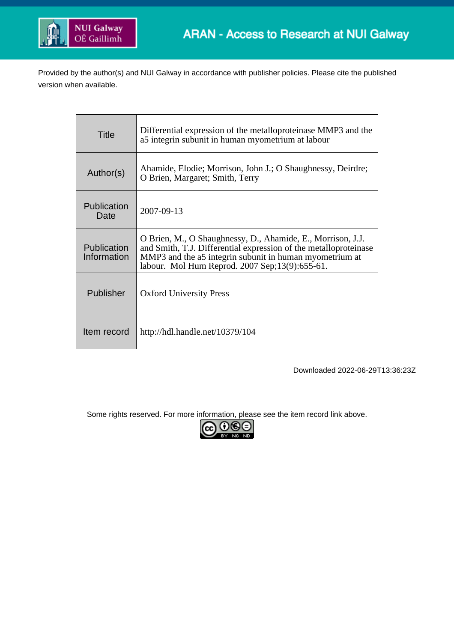

Provided by the author(s) and NUI Galway in accordance with publisher policies. Please cite the published version when available.

| Title                      | Differential expression of the metalloproteinase MMP3 and the<br>a5 integrin subunit in human myometrium at labour                                                                                                                           |
|----------------------------|----------------------------------------------------------------------------------------------------------------------------------------------------------------------------------------------------------------------------------------------|
| Author(s)                  | Ahamide, Elodie; Morrison, John J.; O Shaughnessy, Deirdre;<br>O Brien, Margaret; Smith, Terry                                                                                                                                               |
| Publication<br>Date        | 2007-09-13                                                                                                                                                                                                                                   |
| Publication<br>Information | O Brien, M., O Shaughnessy, D., Ahamide, E., Morrison, J.J.<br>and Smith, T.J. Differential expression of the metalloproteinase<br>MMP3 and the a5 integrin subunit in human myometrium at<br>labour. Mol Hum Reprod. 2007 Sep;13(9):655-61. |
| Publisher                  | <b>Oxford University Press</b>                                                                                                                                                                                                               |
| Item record                | http://hdl.handle.net/10379/104                                                                                                                                                                                                              |

Downloaded 2022-06-29T13:36:23Z

Some rights reserved. For more information, please see the item record link above.

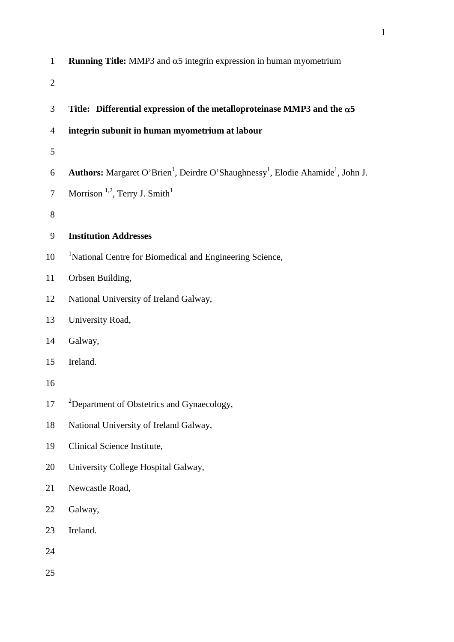| $\mathbf{1}$   | <b>Running Title:</b> MMP3 and $\alpha$ 5 integrin expression in human myometrium                                   |
|----------------|---------------------------------------------------------------------------------------------------------------------|
| $\overline{2}$ |                                                                                                                     |
| 3              | Title: Differential expression of the metalloproteinase MMP3 and the $\alpha$ 5                                     |
| 4              | integrin subunit in human myometrium at labour                                                                      |
| 5              |                                                                                                                     |
| 6              | Authors: Margaret O'Brien <sup>1</sup> , Deirdre O'Shaughnessy <sup>1</sup> , Elodie Ahamide <sup>1</sup> , John J. |
| $\tau$         | Morrison <sup>1,2</sup> , Terry J. Smith <sup>1</sup>                                                               |
| $8\,$          |                                                                                                                     |
| 9              | <b>Institution Addresses</b>                                                                                        |
| 10             | <sup>1</sup> National Centre for Biomedical and Engineering Science,                                                |
| 11             | Orbsen Building,                                                                                                    |
| 12             | National University of Ireland Galway,                                                                              |
| 13             | University Road,                                                                                                    |
| 14             | Galway,                                                                                                             |
| 15             | Ireland.                                                                                                            |
| 16             |                                                                                                                     |
| 17             | <sup>2</sup> Department of Obstetrics and Gynaecology,                                                              |
| 18             | National University of Ireland Galway,                                                                              |
| 19             | Clinical Science Institute,                                                                                         |
| 20             | University College Hospital Galway,                                                                                 |
| 21             | Newcastle Road,                                                                                                     |
| 22             | Galway,                                                                                                             |
| 23             | Ireland.                                                                                                            |
| 24             |                                                                                                                     |
| 25             |                                                                                                                     |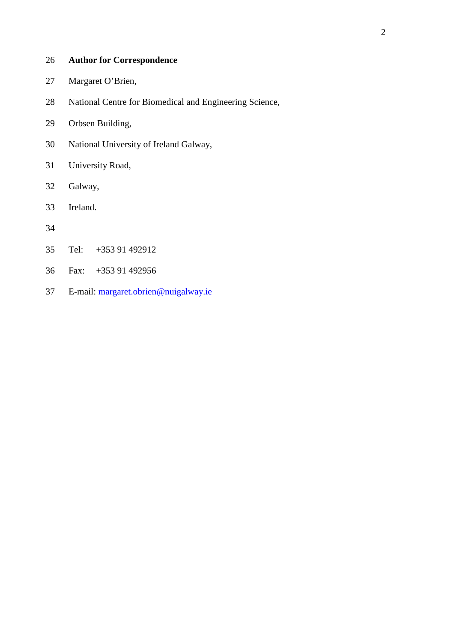## **Author for Correspondence**

- Margaret O'Brien,
- National Centre for Biomedical and Engineering Science,
- Orbsen Building,
- National University of Ireland Galway,
- University Road,
- Galway,
- Ireland.
- 
- Tel: +353 91 492912
- Fax: +353 91 492956
- E-mail: margaret.obrien@nuigalway.ie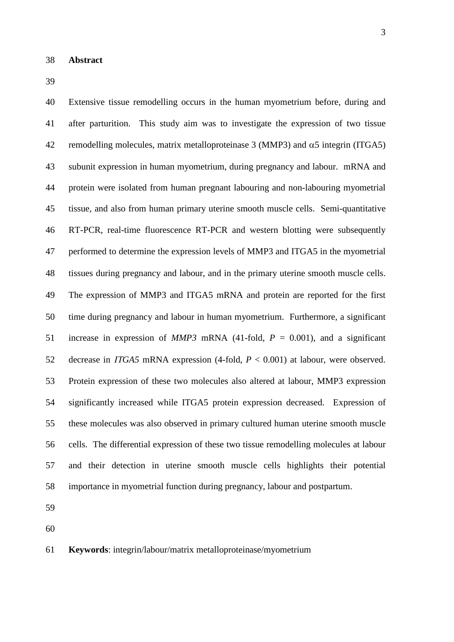Extensive tissue remodelling occurs in the human myometrium before, during and after parturition. This study aim was to investigate the expression of two tissue 42 remodelling molecules, matrix metalloproteinase 3 (MMP3) and  $\alpha$ 5 integrin (ITGA5) subunit expression in human myometrium, during pregnancy and labour. mRNA and protein were isolated from human pregnant labouring and non-labouring myometrial tissue, and also from human primary uterine smooth muscle cells. Semi-quantitative RT-PCR, real-time fluorescence RT-PCR and western blotting were subsequently 47 performed to determine the expression levels of MMP3 and ITGA5 in the myometrial tissues during pregnancy and labour, and in the primary uterine smooth muscle cells. 49 The expression of MMP3 and ITGA5 mRNA and protein are reported for the first time during pregnancy and labour in human myometrium. Furthermore, a significant increase in expression of *MMP3* mRNA (41-fold, *P* = 0.001), and a significant 52 decrease in *ITGA5* mRNA expression  $(4$ -fold,  $P < 0.001$ ) at labour, were observed. Protein expression of these two molecules also altered at labour, MMP3 expression significantly increased while ITGA5 protein expression decreased. Expression of these molecules was also observed in primary cultured human uterine smooth muscle cells. The differential expression of these two tissue remodelling molecules at labour and their detection in uterine smooth muscle cells highlights their potential importance in myometrial function during pregnancy, labour and postpartum.

- 
- 

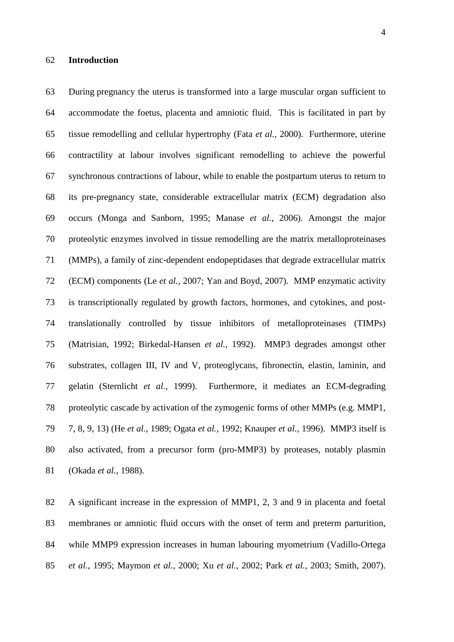During pregnancy the uterus is transformed into a large muscular organ sufficient to accommodate the foetus, placenta and amniotic fluid. This is facilitated in part by tissue remodelling and cellular hypertrophy (Fata *et al.*, 2000). Furthermore, uterine contractility at labour involves significant remodelling to achieve the powerful synchronous contractions of labour, while to enable the postpartum uterus to return to its pre-pregnancy state, considerable extracellular matrix (ECM) degradation also occurs (Monga and Sanborn, 1995; Manase *et al.*, 2006). Amongst the major proteolytic enzymes involved in tissue remodelling are the matrix metalloproteinases (MMPs), a family of zinc-dependent endopeptidases that degrade extracellular matrix (ECM) components (Le *et al.*, 2007; Yan and Boyd, 2007). MMP enzymatic activity is transcriptionally regulated by growth factors, hormones, and cytokines, and post- translationally controlled by tissue inhibitors of metalloproteinases (TIMPs) (Matrisian, 1992; Birkedal-Hansen *et al.*, 1992). MMP3 degrades amongst other substrates, collagen III, IV and V, proteoglycans, fibronectin, elastin, laminin, and gelatin (Sternlicht *et al.*, 1999). Furthermore, it mediates an ECM-degrading proteolytic cascade by activation of the zymogenic forms of other MMPs (e.g. MMP1, 7, 8, 9, 13) (He *et al.*, 1989; Ogata *et al.*, 1992; Knauper *et al.*, 1996). MMP3 itself is also activated, from a precursor form (pro-MMP3) by proteases, notably plasmin (Okada *et al.*, 1988).

 A significant increase in the expression of MMP1, 2, 3 and 9 in placenta and foetal membranes or amniotic fluid occurs with the onset of term and preterm parturition, while MMP9 expression increases in human labouring myometrium (Vadillo-Ortega *et al.*, 1995; Maymon *et al.*, 2000; Xu *et al.*, 2002; Park *et al.*, 2003; Smith, 2007).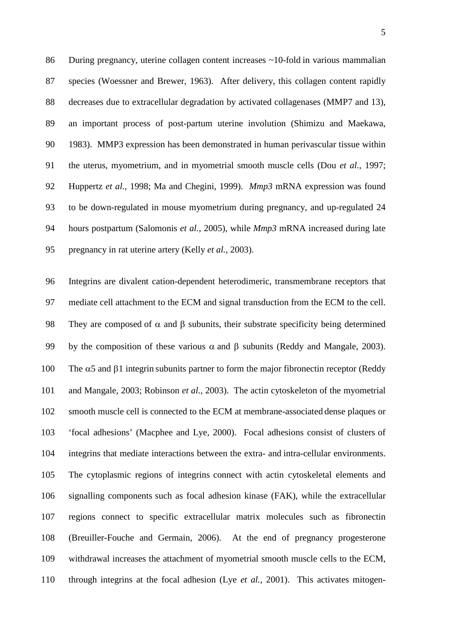During pregnancy, uterine collagen content increases ~10-fold in various mammalian species (Woessner and Brewer, 1963). After delivery, this collagen content rapidly decreases due to extracellular degradation by activated collagenases (MMP7 and 13), an important process of post-partum uterine involution (Shimizu and Maekawa, 1983). MMP3 expression has been demonstrated in human perivascular tissue within the uterus, myometrium, and in myometrial smooth muscle cells (Dou *et al.*, 1997; Huppertz *et al.*, 1998; Ma and Chegini, 1999). *Mmp3* mRNA expression was found to be down-regulated in mouse myometrium during pregnancy, and up-regulated 24 hours postpartum (Salomonis *et al.*, 2005), while *Mmp3* mRNA increased during late pregnancy in rat uterine artery (Kelly *et al.*, 2003).

 Integrins are divalent cation-dependent heterodimeric, transmembrane receptors that mediate cell attachment to the ECM and signal transduction from the ECM to the cell. 98 They are composed of  $\alpha$  and  $\beta$  subunits, their substrate specificity being determined 99 by the composition of these various  $\alpha$  and  $\beta$  subunits (Reddy and Mangale, 2003). 100 The  $\alpha$ 5 and  $\beta$ 1 integrin subunits partner to form the major fibronectin receptor (Reddy and Mangale, 2003; Robinson *et al.*, 2003). The actin cytoskeleton of the myometrial smooth muscle cell is connected to the ECM at membrane-associated dense plaques or 'focal adhesions' (Macphee and Lye, 2000). Focal adhesions consist of clusters of integrins that mediate interactions between the extra- and intra-cellular environments. The cytoplasmic regions of integrins connect with actin cytoskeletal elements and signalling components such as focal adhesion kinase (FAK), while the extracellular regions connect to specific extracellular matrix molecules such as fibronectin (Breuiller-Fouche and Germain, 2006). At the end of pregnancy progesterone withdrawal increases the attachment of myometrial smooth muscle cells to the ECM, through integrins at the focal adhesion (Lye *et al.*, 2001). This activates mitogen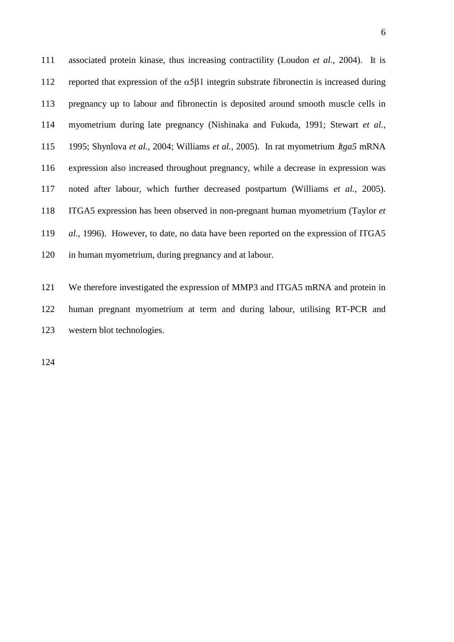associated protein kinase, thus increasing contractility (Loudon *et al.*, 2004). It is 112 reported that expression of the  $\alpha$ 5 $\beta$ 1 integrin substrate fibronectin is increased during pregnancy up to labour and fibronectin is deposited around smooth muscle cells in myometrium during late pregnancy (Nishinaka and Fukuda, 1991; Stewart *et al.*, 1995; Shynlova *et al.*, 2004; Williams *et al.*, 2005). In rat myometrium *tga5* mRNA expression also increased throughout pregnancy, while a decrease in expression was noted after labour, which further decreased postpartum (Williams *et al.*, 2005). GA5 expression has been observed in non-pregnant human myometrium (Taylor *et al.*, 1996). However, to date, no data have been reported on the expression of ITGA5 in human myometrium, during pregnancy and at labour.

121 We therefore investigated the expression of MMP3 and ITGA5 mRNA and protein in human pregnant myometrium at term and during labour, utilising RT-PCR and western blot technologies.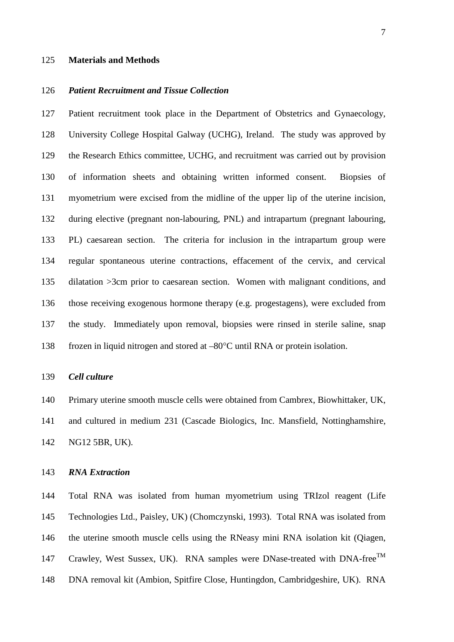#### **Materials and Methods**

## *Patient Recruitment and Tissue Collection*

 Patient recruitment took place in the Department of Obstetrics and Gynaecology, University College Hospital Galway (UCHG), Ireland. The study was approved by the Research Ethics committee, UCHG, and recruitment was carried out by provision of information sheets and obtaining written informed consent. Biopsies of myometrium were excised from the midline of the upper lip of the uterine incision, during elective (pregnant non-labouring, PNL) and intrapartum (pregnant labouring, PL) caesarean section. The criteria for inclusion in the intrapartum group were regular spontaneous uterine contractions, effacement of the cervix, and cervical dilatation >3cm prior to caesarean section. Women with malignant conditions, and those receiving exogenous hormone therapy (e.g. progestagens), were excluded from the study. Immediately upon removal, biopsies were rinsed in sterile saline, snap 138 frozen in liquid nitrogen and stored at  $-80^{\circ}$ C until RNA or protein isolation.

#### *Cell culture*

 Primary uterine smooth muscle cells were obtained from Cambrex, Biowhittaker, UK, and cultured in medium 231 (Cascade Biologics, Inc. Mansfield, Nottinghamshire, NG12 5BR, UK).

## *RNA Extraction*

 Total RNA was isolated from human myometrium using TRIzol reagent (Life Technologies Ltd., Paisley, UK) (Chomczynski, 1993). Total RNA was isolated from the uterine smooth muscle cells using the RNeasy mini RNA isolation kit (Qiagen, 147 Crawley, West Sussex, UK). RNA samples were DNase-treated with DNA-free<sup>TM</sup> DNA removal kit (Ambion, Spitfire Close, Huntingdon, Cambridgeshire, UK). RNA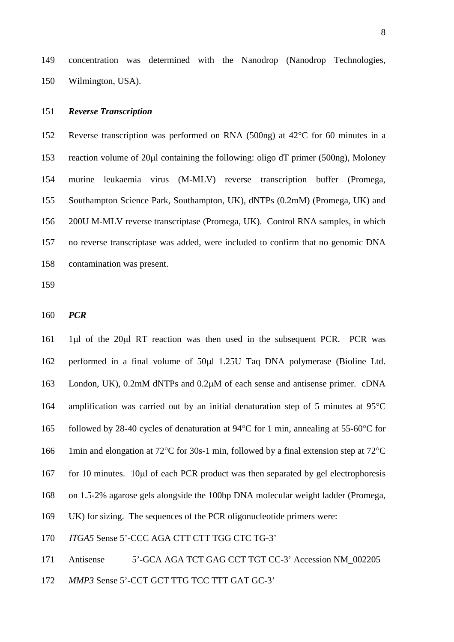concentration was determined with the Nanodrop (Nanodrop Technologies, Wilmington, USA).

#### *Reverse Transcription*

152 Reverse transcription was performed on RNA (500ng) at 42<sup>o</sup>C for 60 minutes in a 153 reaction volume of 20 ul containing the following: oligo dT primer (500ng), Moloney murine leukaemia virus (M-MLV) reverse transcription buffer (Promega, Southampton Science Park, Southampton, UK), dNTPs (0.2mM) (Promega, UK) and 200U M-MLV reverse transcriptase (Promega, UK). Control RNA samples, in which no reverse transcriptase was added, were included to confirm that no genomic DNA contamination was present.

*PCR*

161 1ul of the 20ul RT reaction was then used in the subsequent PCR. PCR was 162 performed in a final volume of 50 $\mu$ l 1.25U Taq DNA polymerase (Bioline Ltd. 163 London, UK), 0.2mM dNTPs and 0.2 $\mu$ M of each sense and antisense primer. cDNA 164 amplification was carried out by an initial denaturation step of 5 minutes at  $95^{\circ}$ C 165 followed by 28-40 cycles of denaturation at 94 $\rm ^{\circ}C$  for 1 min, annealing at 55-60 $\rm ^{\circ}C$  for 166 1min and elongation at 72 $^{\circ}$ C for 30s-1 min, followed by a final extension step at 72 $^{\circ}$ C 167 for 10 minutes.  $10\mu$  of each PCR product was then separated by gel electrophoresis on 1.5-2% agarose gels alongside the 100bp DNA molecular weight ladder (Promega, UK) for sizing. The sequences of the PCR oligonucleotide primers were: *ITGA5* Sense 5'-CCC AGA CTT CTT TGG CTC TG-3' Antisense 5'-GCA AGA TCT GAG CCT TGT CC-3' Accession NM\_002205

*MMP3* Sense 5'-CCT GCT TTG TCC TTT GAT GC-3'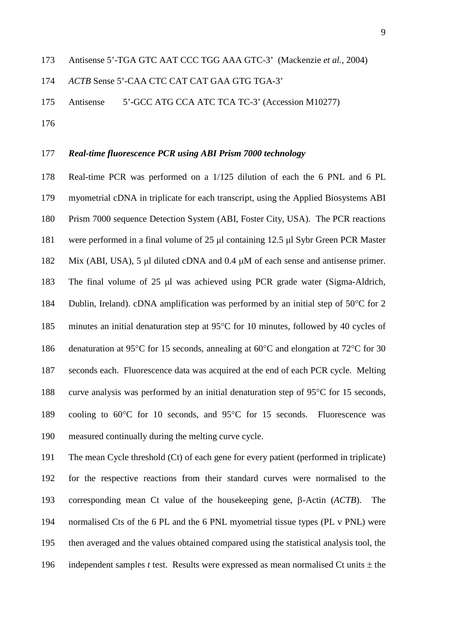*ACTB* Sense 5'-CAA CTC CAT CAT GAA GTG TGA-3'

Antisense 5'-GCC ATG CCA ATC TCA TC-3' (Accession M10277)

## *Real-time fluorescence PCR using ABI Prism 7000 technology*

 Real-time PCR was performed on a 1/125 dilution of each the 6 PNL and 6 PL myometrial cDNA in triplicate for each transcript, using the Applied Biosystems ABI Prism 7000 sequence Detection System (ABI, Foster City, USA). The PCR reactions were performed in a final volume of 25 μl containing 12.5 μl Sybr Green PCR Master Mix (ABI, USA), 5 μl diluted cDNA and 0.4 μM of each sense and antisense primer. The final volume of 25 μl was achieved using PCR grade water (Sigma-Aldrich, 184 Dublin, Ireland). cDNA amplification was performed by an initial step of  $50^{\circ}$ C for 2 185 minutes an initial denaturation step at  $95^{\circ}$ C for 10 minutes, followed by 40 cycles of 186 denaturation at 95 $\degree$ C for 15 seconds, annealing at 60 $\degree$ C and elongation at 72 $\degree$ C for 30 seconds each. Fluorescence data was acquired at the end of each PCR cycle. Melting 188 curve analysis was performed by an initial denaturation step of  $95^{\circ}$ C for 15 seconds, 189 cooling to  $60^{\circ}$ C for 10 seconds, and  $95^{\circ}$ C for 15 seconds. Fluorescence was measured continually during the melting curve cycle.

 The mean Cycle threshold (Ct) of each gene for every patient (performed in triplicate) for the respective reactions from their standard curves were normalised to the 193 corresponding mean Ct value of the house keeping gene,  $\beta$ -Actin (*ACTB*). The normalised Cts of the 6 PL and the 6 PNL myometrial tissue types (PL v PNL) were then averaged and the values obtained compared using the statistical analysis tool, the 196 independent samples *t* test. Results were expressed as mean normalised Ct units  $\pm$  the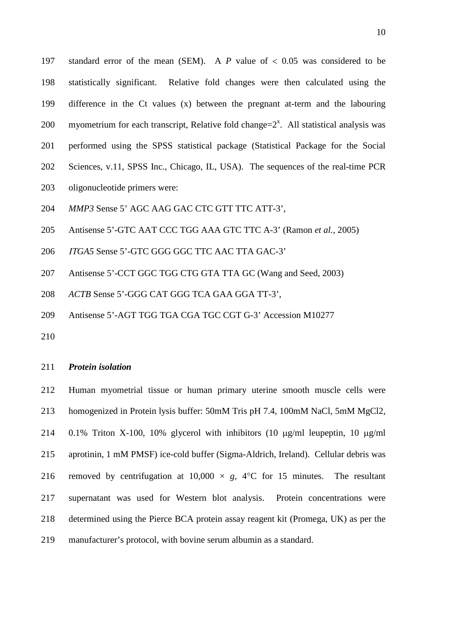197 standard error of the mean (SEM). A  $P$  value of  $\lt$  0.05 was considered to be statistically significant. Relative fold changes were then calculated using the difference in the Ct values (x) between the pregnant at-term and the labouring 200 myometrium for each transcript, Relative fold change= $2<sup>x</sup>$ . All statistical analysis was performed using the SPSS statistical package (Statistical Package for the Social Sciences, v.11, SPSS Inc., Chicago, IL, USA). The sequences of the real-time PCR oligonucleotide primers were: *MMP3* Sense 5' AGC AAG GAC CTC GTT TTC ATT-3',

- 
- Antisense 5'-GTC AAT CCC TGG AAA GTC TTC A-3' (Ramon *et al.*, 2005)
- *ITGA5* Sense 5'-GTC GGG GGC TTC AAC TTA GAC-3'
- Antisense 5'-CCT GGC TGG CTG GTA TTA GC (Wang and Seed, 2003)
- *ACTB* Sense 5'-GGG CAT GGG TCA GAA GGA TT-3',
- Antisense 5'-AGT TGG TGA CGA TGC CGT G-3' Accession M10277
- 

## *Protein isolation*

 Human myometrial tissue or human primary uterine smooth muscle cells were homogenized in Protein lysis buffer: 50mM Tris pH 7.4, 100mM NaCl, 5mM MgCl2, 214 0.1% Triton X-100, 10% glycerol with inhibitors (10  $\mu$ g/ml leupeptin, 10  $\mu$ g/ml aprotinin, 1 mM PMSF) ice-cold buffer (Sigma-Aldrich, Ireland). Cellular debris was 216 removed by centrifugation at  $10,000 \times g$ ,  $4^{\circ}$ C for 15 minutes. The resultant supernatant was used for Western blot analysis. Protein concentrations were determined using the Pierce BCA protein assay reagent kit (Promega, UK) as per the manufacturer's protocol, with bovine serum albumin as a standard.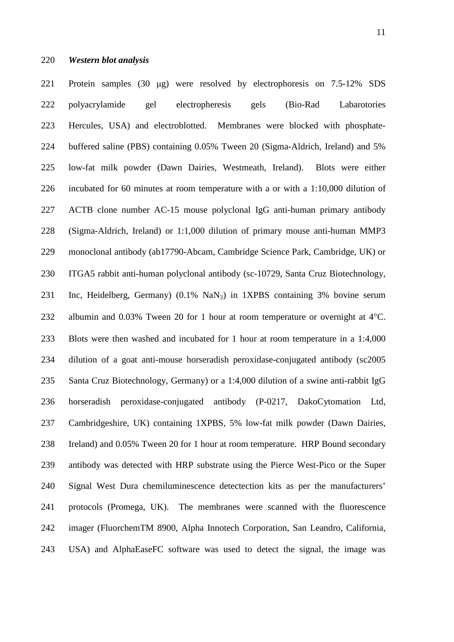Protein samples (30 μg) were resolved by electrophoresis on 7.5-12% SDS polyacrylamide gel electropheresis gels (Bio-Rad Labarotories Hercules, USA) and electroblotted. Membranes were blocked with phosphate- buffered saline (PBS) containing 0.05% Tween 20 (Sigma-Aldrich, Ireland) and 5% low-fat milk powder (Dawn Dairies, Westmeath, Ireland). Blots were either incubated for 60 minutes at room temperature with a or with a 1:10,000 dilution of ACTB clone number AC-15 mouse polyclonal IgG anti-human primary antibody (Sigma-Aldrich, Ireland) or 1:1,000 dilution of primary mouse anti-human MMP3 monoclonal antibody (ab17790-Abcam, Cambridge Science Park, Cambridge, UK) or 230 ITGA5 rabbit anti-human polyclonal antibody (sc-10729, Santa Cruz Biotechnology, Inc, Heidelberg, Germany) (0.1% NaN3) in 1XPBS containing 3% bovine serum 232 albumin and  $0.03\%$  Tween 20 for 1 hour at room temperature or overnight at  $4^{\circ}$ C. Blots were then washed and incubated for 1 hour at room temperature in a 1:4,000 dilution of a goat anti-mouse horseradish peroxidase-conjugated antibody (sc2005 Santa Cruz Biotechnology, Germany) or a 1:4,000 dilution of a swine anti-rabbit IgG horseradish peroxidase-conjugated antibody (P-0217, DakoCytomation Ltd, Cambridgeshire, UK) containing 1XPBS, 5% low-fat milk powder (Dawn Dairies, Ireland) and 0.05% Tween 20 for 1 hour at room temperature. HRP Bound secondary antibody was detected with HRP substrate using the Pierce West-Pico or the Super Signal West Dura chemiluminescence detectection kits as per the manufacturers' protocols (Promega, UK). The membranes were scanned with the fluorescence imager (FluorchemTM 8900, Alpha Innotech Corporation, San Leandro, California, USA) and AlphaEaseFC software was used to detect the signal, the image was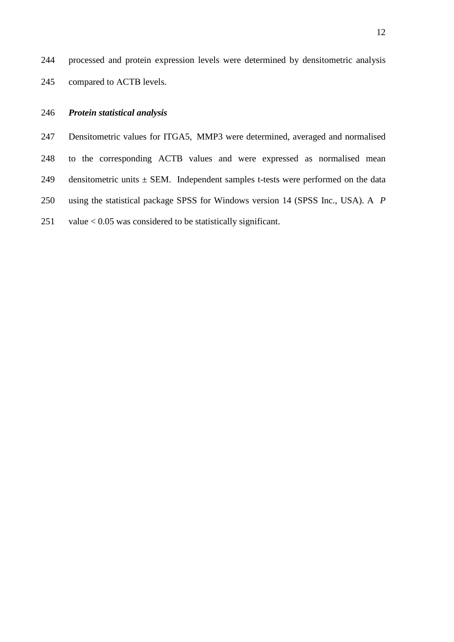244 processed and protein expression levels were determined by densitometric analysis 245 compared to ACTB levels.

## 246 *Protein statistical analysis*

247 Densitometric values for ITGA5, MMP3 were determined, averaged and normalised 248 to the corresponding ACTB values and were expressed as normalised mean 249 densitometric units  $\pm$  SEM. Independent samples t-tests were performed on the data 250 using the statistical package SPSS for Windows version 14 (SPSS Inc., USA). A *P* 251 value  $< 0.05$  was considered to be statistically significant.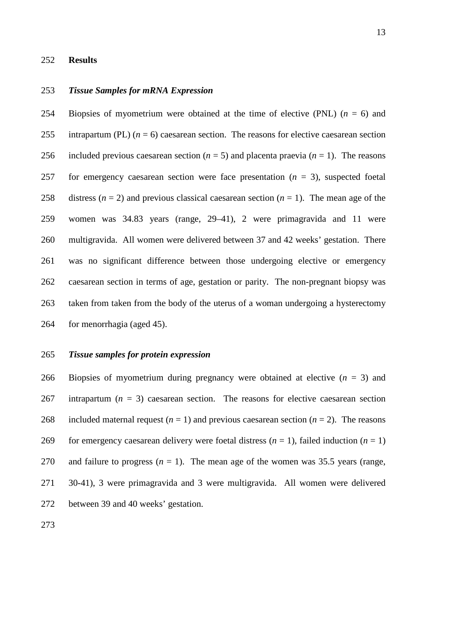#### **Results**

## *Tissue Samples for mRNA Expression*

254 Biopsies of myometrium were obtained at the time of elective (PNL)  $(n = 6)$  and 255 intrapartum (PL)  $(n = 6)$  caesarean section. The reasons for elective caesarean section 256 included previous caesarean section  $(n = 5)$  and placenta praevia  $(n = 1)$ . The reasons for emergency caesarean section were face presentation (*n* = 3), suspected foetal 258 distress  $(n = 2)$  and previous classical caesarean section  $(n = 1)$ . The mean age of the women was 34.83 years (range, 29–41), 2 were primagravida and 11 were multigravida. All women were delivered between 37 and 42 weeks' gestation. There was no significant difference between those undergoing elective or emergency caesarean section in terms of age, gestation or parity. The non-pregnant biopsy was taken from taken from the body of the uterus of a woman undergoing a hysterectomy for menorrhagia (aged 45).

## *Tissue samples for protein expression*

266 Biopsies of myometrium during pregnancy were obtained at elective  $(n = 3)$  and 267 intrapartum  $(n = 3)$  caesarean section. The reasons for elective caesarean section 268 included maternal request  $(n = 1)$  and previous caesarean section  $(n = 2)$ . The reasons 269 for emergency caesarean delivery were foetal distress  $(n = 1)$ , failed induction  $(n = 1)$ 270 and failure to progress  $(n = 1)$ . The mean age of the women was 35.5 years (range, 30-41), 3 were primagravida and 3 were multigravida. All women were delivered between 39 and 40 weeks' gestation.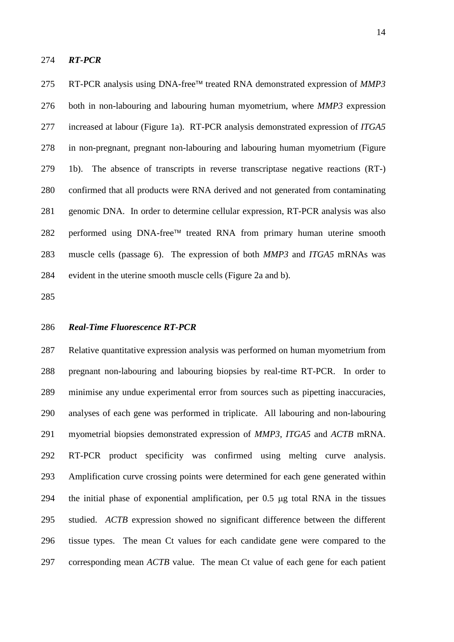#### *RT-PCR*

275 RT-PCR analysis using DNA-free<sup>™</sup> treated RNA demonstrated expression of *MMP3*  both in non-labouring and labouring human myometrium, where *MMP3* expression increased at labour (Figure 1a). RT-PCR analysis demonstrated expression of *ITGA5* in non-pregnant, pregnant non-labouring and labouring human myometrium (Figure 1b). The absence of transcripts in reverse transcriptase negative reactions (RT-) confirmed that all products were RNA derived and not generated from contaminating genomic DNA. In order to determine cellular expression, RT-PCR analysis was also 282 performed using DNA-free<sup> $TM$ </sup> treated RNA from primary human uterine smooth muscle cells (passage 6). The expression of both *MMP3* and *ITGA5* mRNAs was evident in the uterine smooth muscle cells (Figure 2a and b).

## *Real-Time Fluorescence RT-PCR*

 Relative quantitative expression analysis was performed on human myometrium from pregnant non-labouring and labouring biopsies by real-time RT-PCR. In order to minimise any undue experimental error from sources such as pipetting inaccuracies, analyses of each gene was performed in triplicate. All labouring and non-labouring myometrial biopsies demonstrated expression of *MMP3*, *ITGA5* and *ACTB* mRNA. RT-PCR product specificity was confirmed using melting curve analysis. Amplification curve crossing points were determined for each gene generated within 294 the initial phase of exponential amplification, per  $0.5 \mu$ g total RNA in the tissues studied. *ACTB* expression showed no significant difference between the different tissue types. The mean Ct values for each candidate gene were compared to the corresponding mean *ACTB* value. The mean Ct value of each gene for each patient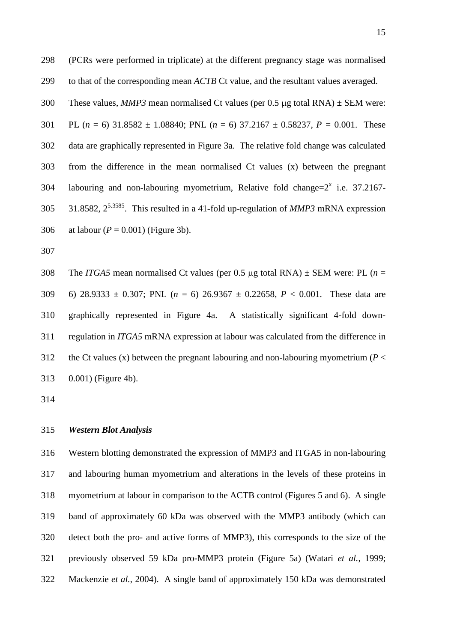(PCRs were performed in triplicate) at the different pregnancy stage was normalised to that of the corresponding mean *ACTB* Ct value, and the resultant values averaged. 300 These values, *MMP3* mean normalised Ct values (per 0.5  $\mu$ g total RNA)  $\pm$  SEM were: 301 PL  $(n = 6)$  31.8582  $\pm$  1.08840; PNL  $(n = 6)$  37.2167  $\pm$  0.58237,  $P = 0.001$ . These data are graphically represented in Figure 3a. The relative fold change was calculated from the difference in the mean normalised Ct values (x) between the pregnant 304 labouring and non-labouring myometrium, Relative fold change= $2^x$  i.e. 37.2167-305 31.8582,  $2^{5.3585}$ . This resulted in a 41-fold up-regulation of *MMP3* mRNA expression

- 306 at labour  $(P = 0.001)$  (Figure 3b).
- 

308 The *ITGA5* mean normalised Ct values (per 0.5 µg total RNA)  $\pm$  SEM were: PL (*n* = 6) 28.9333 ± 0.307; PNL (*n* = 6) 26.9367 ± 0.22658, *P* < 0.001. These data are graphically represented in Figure 4a. A statistically significant 4-fold down- regulation in *ITGA5* mRNA expression at labour was calculated from the difference in 312 the Ct values (x) between the pregnant labouring and non-labouring myometrium ( $P <$ 0.001) (Figure 4b).

## *Western Blot Analysis*

 Western blotting demonstrated the expression of MMP3 and ITGA5 in non-labouring and labouring human myometrium and alterations in the levels of these proteins in myometrium at labour in comparison to the ACTB control (Figures 5 and 6). A single band of approximately 60 kDa was observed with the MMP3 antibody (which can detect both the pro- and active forms of MMP3), this corresponds to the size of the previously observed 59 kDa pro-MMP3 protein (Figure 5a) (Watari *et al.*, 1999; Mackenzie *et al.*, 2004). A single band of approximately 150 kDa was demonstrated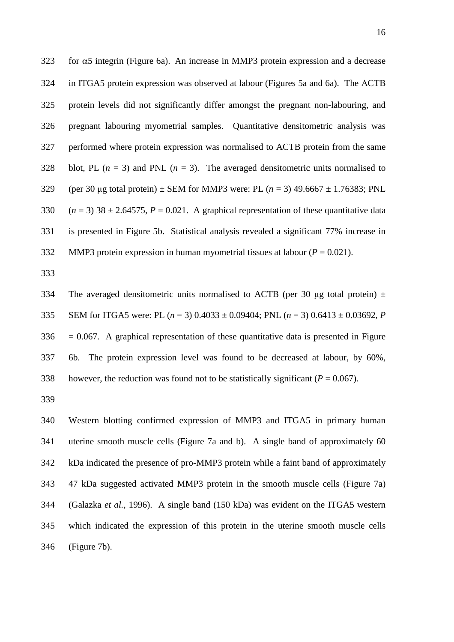for  $\alpha$ 5 integrin (Figure 6a). An increase in MMP3 protein expression and a decrease 324 in ITGA5 protein expression was observed at labour (Figures 5a and 6a). The ACTB protein levels did not significantly differ amongst the pregnant non-labouring, and pregnant labouring myometrial samples. Quantitative densitometric analysis was performed where protein expression was normalised to ACTB protein from the same 328 blot, PL  $(n = 3)$  and PNL  $(n = 3)$ . The averaged densitometric units normalised to 329 (per 30 µg total protein)  $\pm$  SEM for MMP3 were: PL ( $n = 3$ ) 49.6667  $\pm$  1.76383; PNL 330  $(n = 3)$  38  $\pm$  2.64575,  $P = 0.021$ . A graphical representation of these quantitative data is presented in Figure 5b. Statistical analysis revealed a significant 77% increase in 332 MMP3 protein expression in human myometrial tissues at labour  $(P = 0.021)$ .

334 The averaged densitometric units normalised to ACTB (per 30  $\mu$ g total protein)  $\pm$  SEM for ITGA5 were: PL (*n* = 3) 0.4033 ± 0.09404; PNL (*n* = 3) 0.6413 ± 0.03692, *P*  $336 = 0.067$ . A graphical representation of these quantitative data is presented in Figure 6b. The protein expression level was found to be decreased at labour, by 60%, 338 however, the reduction was found not to be statistically significant  $(P = 0.067)$ .

 Western blotting confirmed expression of MMP3 and ITGA5 in primary human uterine smooth muscle cells (Figure 7a and b). A single band of approximately 60 kDa indicated the presence of pro-MMP3 protein while a faint band of approximately 47 kDa suggested activated MMP3 protein in the smooth muscle cells (Figure 7a) (Galazka *et al.*, 1996). A single band (150 kDa) was evident on the ITGA5 western which indicated the expression of this protein in the uterine smooth muscle cells (Figure 7b).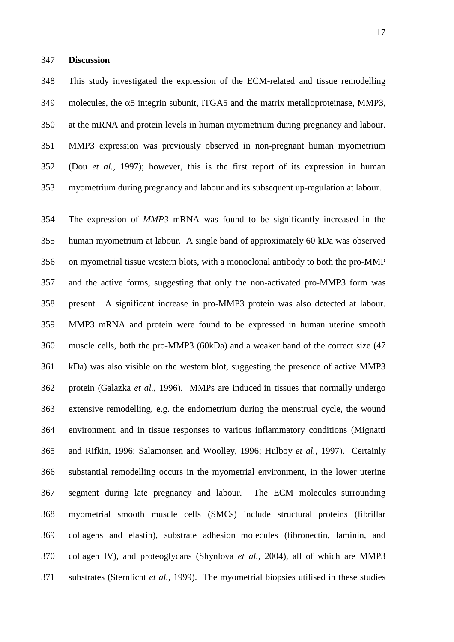#### **Discussion**

 This study investigated the expression of the ECM-related and tissue remodelling 349 molecules, the  $\alpha$ 5 integrin subunit, ITGA5 and the matrix metalloproteinase, MMP3, at the mRNA and protein levels in human myometrium during pregnancy and labour. MMP3 expression was previously observed in non-pregnant human myometrium (Dou *et al.*, 1997); however, this is the first report of its expression in human myometrium during pregnancy and labour and its subsequent up-regulation at labour.

 The expression of *MMP3* mRNA was found to be significantly increased in the human myometrium at labour. A single band of approximately 60 kDa was observed on myometrial tissue western blots, with a monoclonal antibody to both the pro-MMP and the active forms, suggesting that only the non-activated pro-MMP3 form was present. A significant increase in pro-MMP3 protein was also detected at labour. MMP3 mRNA and protein were found to be expressed in human uterine smooth muscle cells, both the pro-MMP3 (60kDa) and a weaker band of the correct size (47 kDa) was also visible on the western blot, suggesting the presence of active MMP3 protein (Galazka *et al.*, 1996). MMPs are induced in tissues that normally undergo extensive remodelling, e.g. the endometrium during the menstrual cycle, the wound environment, and in tissue responses to various inflammatory conditions (Mignatti and Rifkin, 1996; Salamonsen and Woolley, 1996; Hulboy *et al.*, 1997). Certainly substantial remodelling occurs in the myometrial environment, in the lower uterine segment during late pregnancy and labour. The ECM molecules surrounding myometrial smooth muscle cells (SMCs) include structural proteins (fibrillar collagens and elastin), substrate adhesion molecules (fibronectin, laminin, and collagen IV), and proteoglycans (Shynlova *et al.*, 2004), all of which are MMP3 substrates (Sternlicht *et al.*, 1999). The myometrial biopsies utilised in these studies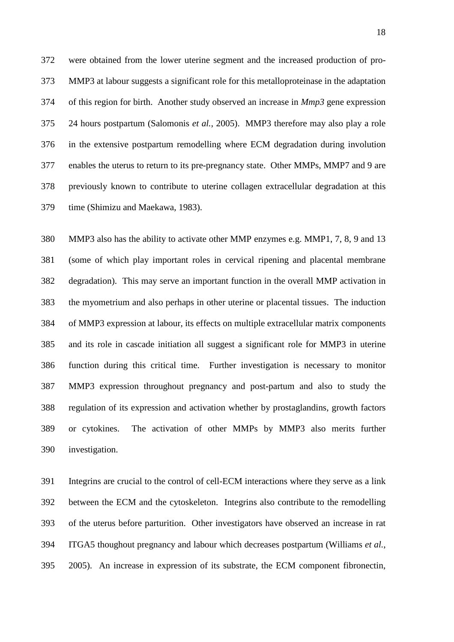were obtained from the lower uterine segment and the increased production of pro- MMP3 at labour suggests a significant role for this metalloproteinase in the adaptation of this region for birth. Another study observed an increase in *Mmp3* gene expression 24 hours postpartum (Salomonis *et al.*, 2005). MMP3 therefore may also play a role in the extensive postpartum remodelling where ECM degradation during involution enables the uterus to return to its pre-pregnancy state. Other MMPs, MMP7 and 9 are previously known to contribute to uterine collagen extracellular degradation at this time (Shimizu and Maekawa, 1983).

 MMP3 also has the ability to activate other MMP enzymes e.g. MMP1, 7, 8, 9 and 13 (some of which play important roles in cervical ripening and placental membrane degradation). This may serve an important function in the overall MMP activation in the myometrium and also perhaps in other uterine or placental tissues. The induction of MMP3 expression at labour, its effects on multiple extracellular matrix components and its role in cascade initiation all suggest a significant role for MMP3 in uterine function during this critical time. Further investigation is necessary to monitor MMP3 expression throughout pregnancy and post-partum and also to study the regulation of its expression and activation whether by prostaglandins, growth factors or cytokines. The activation of other MMPs by MMP3 also merits further investigation.

 Integrins are crucial to the control of cell-ECM interactions where they serve as a link between the ECM and the cytoskeleton. Integrins also contribute to the remodelling of the uterus before parturition. Other investigators have observed an increase in rat ITGA5 thoughout pregnancy and labour which decreases postpartum (Williams *et al.*, 2005). An increase in expression of its substrate, the ECM component fibronectin,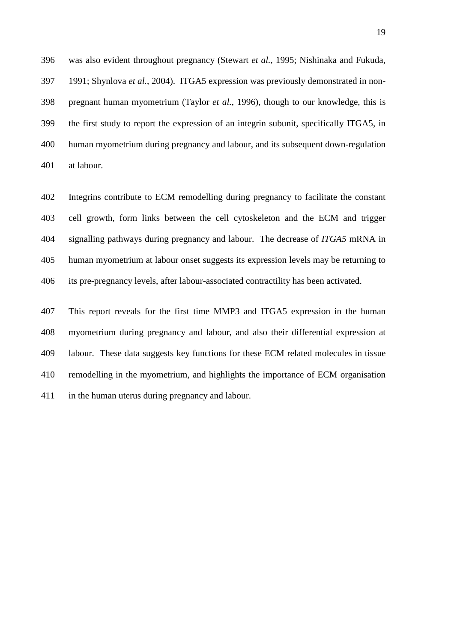was also evident throughout pregnancy (Stewart *et al.*, 1995; Nishinaka and Fukuda, 1991; Shynlova *et al.*, 2004). ITGA5 expression was previously demonstrated in non- pregnant human myometrium (Taylor *et al.*, 1996), though to our knowledge, this is the first study to report the expression of an integrin subunit, specifically ITGA5, in human myometrium during pregnancy and labour, and its subsequent down-regulation at labour.

 Integrins contribute to ECM remodelling during pregnancy to facilitate the constant cell growth, form links between the cell cytoskeleton and the ECM and trigger signalling pathways during pregnancy and labour. The decrease of *ITGA5* mRNA in human myometrium at labour onset suggests its expression levels may be returning to its pre-pregnancy levels, after labour-associated contractility has been activated.

 This report reveals for the first time MMP3 and ITGA5 expression in the human myometrium during pregnancy and labour, and also their differential expression at labour. These data suggests key functions for these ECM related molecules in tissue remodelling in the myometrium, and highlights the importance of ECM organisation in the human uterus during pregnancy and labour.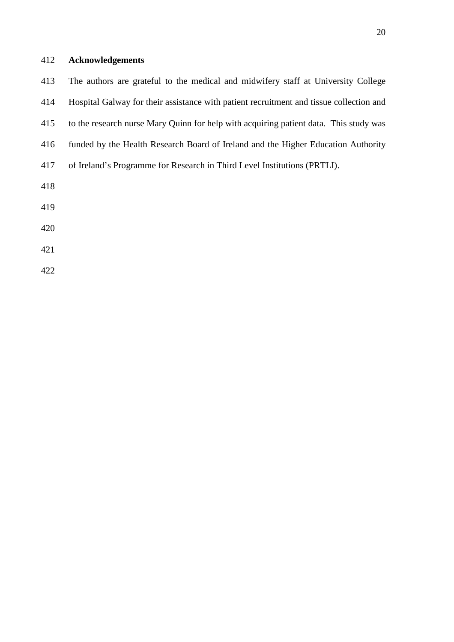# **Acknowledgements**

| 413 | The authors are grateful to the medical and midwifery staff at University College       |
|-----|-----------------------------------------------------------------------------------------|
| 414 | Hospital Galway for their assistance with patient recruitment and tissue collection and |
| 415 | to the research nurse Mary Quinn for help with acquiring patient data. This study was   |
| 416 | funded by the Health Research Board of Ireland and the Higher Education Authority       |
| 417 | of Ireland's Programme for Research in Third Level Institutions (PRTLI).                |
| 418 |                                                                                         |
| 419 |                                                                                         |
| 420 |                                                                                         |
| 421 |                                                                                         |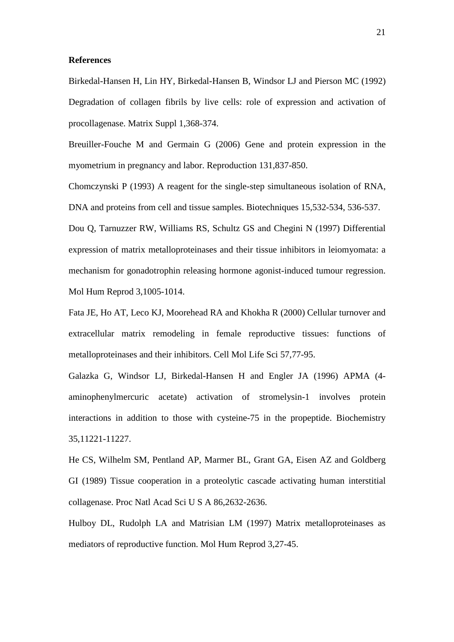### **References**

Birkedal-Hansen H, Lin HY, Birkedal-Hansen B, Windsor LJ and Pierson MC (1992) Degradation of collagen fibrils by live cells: role of expression and activation of procollagenase. Matrix Suppl 1,368-374.

Breuiller-Fouche M and Germain G (2006) Gene and protein expression in the myometrium in pregnancy and labor. Reproduction 131,837-850.

Chomczynski P (1993) A reagent for the single-step simultaneous isolation of RNA, DNA and proteins from cell and tissue samples. Biotechniques 15,532-534, 536-537.

Dou Q, Tarnuzzer RW, Williams RS, Schultz GS and Chegini N (1997) Differential expression of matrix metalloproteinases and their tissue inhibitors in leiomyomata: a mechanism for gonadotrophin releasing hormone agonist-induced tumour regression. Mol Hum Reprod 3,1005-1014.

Fata JE, Ho AT, Leco KJ, Moorehead RA and Khokha R (2000) Cellular turnover and extracellular matrix remodeling in female reproductive tissues: functions of metalloproteinases and their inhibitors. Cell Mol Life Sci 57,77-95.

Galazka G, Windsor LJ, Birkedal-Hansen H and Engler JA (1996) APMA (4 aminophenylmercuric acetate) activation of stromelysin-1 involves protein interactions in addition to those with cysteine-75 in the propeptide. Biochemistry 35,11221-11227.

He CS, Wilhelm SM, Pentland AP, Marmer BL, Grant GA, Eisen AZ and Goldberg GI (1989) Tissue cooperation in a proteolytic cascade activating human interstitial collagenase. Proc Natl Acad Sci U S A 86,2632-2636.

Hulboy DL, Rudolph LA and Matrisian LM (1997) Matrix metalloproteinases as mediators of reproductive function. Mol Hum Reprod 3,27-45.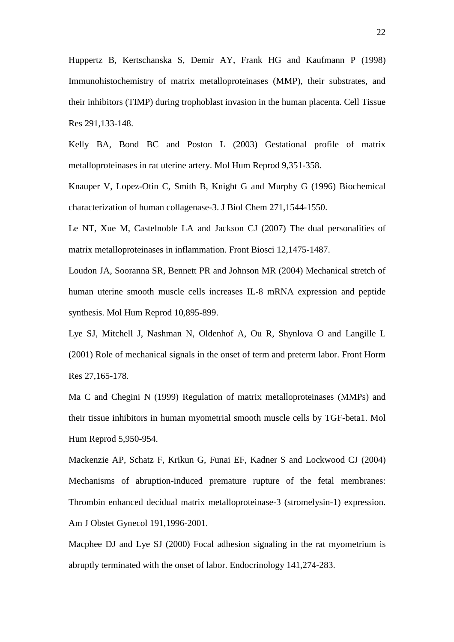Huppertz B, Kertschanska S, Demir AY, Frank HG and Kaufmann P (1998) Immunohistochemistry of matrix metalloproteinases (MMP), their substrates, and their inhibitors (TIMP) during trophoblast invasion in the human placenta. Cell Tissue Res 291,133-148.

Kelly BA, Bond BC and Poston L (2003) Gestational profile of matrix metalloproteinases in rat uterine artery. Mol Hum Reprod 9,351-358.

Knauper V, Lopez-Otin C, Smith B, Knight G and Murphy G (1996) Biochemical characterization of human collagenase-3. J Biol Chem 271,1544-1550.

Le NT, Xue M, Castelnoble LA and Jackson CJ (2007) The dual personalities of matrix metalloproteinases in inflammation. Front Biosci 12,1475-1487.

Loudon JA, Sooranna SR, Bennett PR and Johnson MR (2004) Mechanical stretch of human uterine smooth muscle cells increases IL-8 mRNA expression and peptide synthesis. Mol Hum Reprod 10,895-899.

Lye SJ, Mitchell J, Nashman N, Oldenhof A, Ou R, Shynlova O and Langille L (2001) Role of mechanical signals in the onset of term and preterm labor. Front Horm Res 27,165-178.

Ma C and Chegini N (1999) Regulation of matrix metalloproteinases (MMPs) and their tissue inhibitors in human myometrial smooth muscle cells by TGF-beta1. Mol Hum Reprod 5,950-954.

Mackenzie AP, Schatz F, Krikun G, Funai EF, Kadner S and Lockwood CJ (2004) Mechanisms of abruption-induced premature rupture of the fetal membranes: Thrombin enhanced decidual matrix metalloproteinase-3 (stromelysin-1) expression. Am J Obstet Gynecol 191,1996-2001.

Macphee DJ and Lye SJ (2000) Focal adhesion signaling in the rat myometrium is abruptly terminated with the onset of labor. Endocrinology 141,274-283.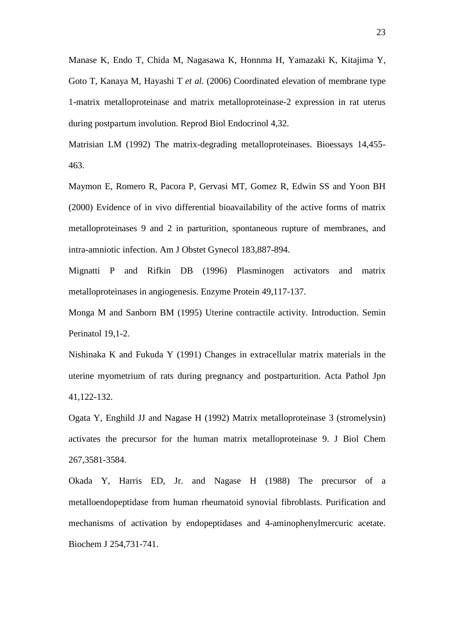Manase K, Endo T, Chida M, Nagasawa K, Honnma H, Yamazaki K, Kitajima Y, Goto T, Kanaya M, Hayashi T *et al.* (2006) Coordinated elevation of membrane type 1-matrix metalloproteinase and matrix metalloproteinase-2 expression in rat uterus during postpartum involution. Reprod Biol Endocrinol 4,32.

Matrisian LM (1992) The matrix-degrading metalloproteinases. Bioessays 14,455- 463.

Maymon E, Romero R, Pacora P, Gervasi MT, Gomez R, Edwin SS and Yoon BH (2000) Evidence of in vivo differential bioavailability of the active forms of matrix metalloproteinases 9 and 2 in parturition, spontaneous rupture of membranes, and intra-amniotic infection. Am J Obstet Gynecol 183,887-894.

Mignatti P and Rifkin DB (1996) Plasminogen activators and matrix metalloproteinases in angiogenesis. Enzyme Protein 49,117-137.

Monga M and Sanborn BM (1995) Uterine contractile activity. Introduction. Semin Perinatol 19,1-2.

Nishinaka K and Fukuda Y (1991) Changes in extracellular matrix materials in the uterine myometrium of rats during pregnancy and postparturition. Acta Pathol Jpn 41,122-132.

Ogata Y, Enghild JJ and Nagase H (1992) Matrix metalloproteinase 3 (stromelysin) activates the precursor for the human matrix metalloproteinase 9. J Biol Chem 267,3581-3584.

Okada Y, Harris ED, Jr. and Nagase H (1988) The precursor of a metalloendopeptidase from human rheumatoid synovial fibroblasts. Purification and mechanisms of activation by endopeptidases and 4-aminophenylmercuric acetate. Biochem J 254,731-741.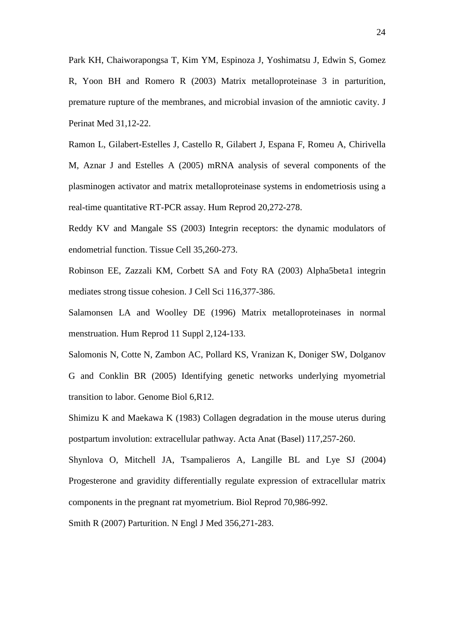Park KH, Chaiworapongsa T, Kim YM, Espinoza J, Yoshimatsu J, Edwin S, Gomez R, Yoon BH and Romero R (2003) Matrix metalloproteinase 3 in parturition, premature rupture of the membranes, and microbial invasion of the amniotic cavity. J Perinat Med 31,12-22.

Ramon L, Gilabert-Estelles J, Castello R, Gilabert J, Espana F, Romeu A, Chirivella M, Aznar J and Estelles A (2005) mRNA analysis of several components of the plasminogen activator and matrix metalloproteinase systems in endometriosis using a real-time quantitative RT-PCR assay. Hum Reprod 20,272-278.

Reddy KV and Mangale SS (2003) Integrin receptors: the dynamic modulators of endometrial function. Tissue Cell 35,260-273.

Robinson EE, Zazzali KM, Corbett SA and Foty RA (2003) Alpha5beta1 integrin mediates strong tissue cohesion. J Cell Sci 116,377-386.

Salamonsen LA and Woolley DE (1996) Matrix metalloproteinases in normal menstruation. Hum Reprod 11 Suppl 2,124-133.

Salomonis N, Cotte N, Zambon AC, Pollard KS, Vranizan K, Doniger SW, Dolganov G and Conklin BR (2005) Identifying genetic networks underlying myometrial transition to labor. Genome Biol 6,R12.

Shimizu K and Maekawa K (1983) Collagen degradation in the mouse uterus during postpartum involution: extracellular pathway. Acta Anat (Basel) 117,257-260.

Shynlova O, Mitchell JA, Tsampalieros A, Langille BL and Lye SJ (2004) Progesterone and gravidity differentially regulate expression of extracellular matrix components in the pregnant rat myometrium. Biol Reprod 70,986-992.

Smith R (2007) Parturition. N Engl J Med 356,271-283.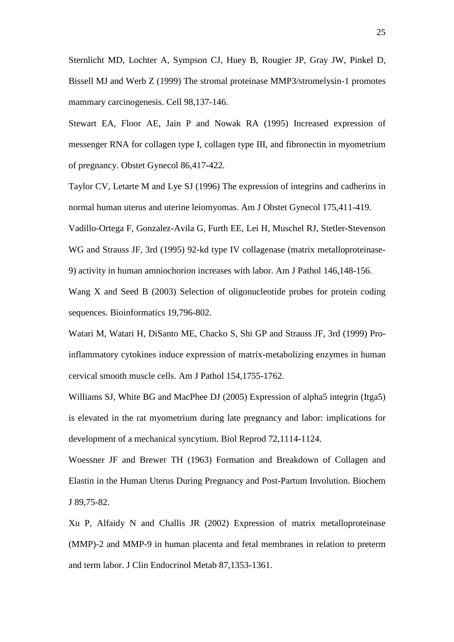Sternlicht MD, Lochter A, Sympson CJ, Huey B, Rougier JP, Gray JW, Pinkel D, Bissell MJ and Werb Z (1999) The stromal proteinase MMP3/stromelysin-1 promotes mammary carcinogenesis. Cell 98,137-146.

Stewart EA, Floor AE, Jain P and Nowak RA (1995) Increased expression of messenger RNA for collagen type I, collagen type III, and fibronectin in myometrium of pregnancy. Obstet Gynecol 86,417-422.

Taylor CV, Letarte M and Lye SJ (1996) The expression of integrins and cadherins in normal human uterus and uterine leiomyomas. Am J Obstet Gynecol 175,411-419.

Vadillo-Ortega F, Gonzalez-Avila G, Furth EE, Lei H, Muschel RJ, Stetler-Stevenson WG and Strauss JF, 3rd (1995) 92-kd type IV collagenase (matrix metalloproteinase-9) activity in human amniochorion increases with labor. Am J Pathol 146,148-156.

Wang X and Seed B (2003) Selection of oligonucleotide probes for protein coding sequences. Bioinformatics 19,796-802.

Watari M, Watari H, DiSanto ME, Chacko S, Shi GP and Strauss JF, 3rd (1999) Proinflammatory cytokines induce expression of matrix-metabolizing enzymes in human cervical smooth muscle cells. Am J Pathol 154,1755-1762.

Williams SJ, White BG and MacPhee DJ (2005) Expression of alpha5 integrin (Itga5) is elevated in the rat myometrium during late pregnancy and labor: implications for development of a mechanical syncytium. Biol Reprod 72,1114-1124.

Woessner JF and Brewer TH (1963) Formation and Breakdown of Collagen and Elastin in the Human Uterus During Pregnancy and Post-Partum Involution. Biochem J 89,75-82.

Xu P, Alfaidy N and Challis JR (2002) Expression of matrix metalloproteinase (MMP)-2 and MMP-9 in human placenta and fetal membranes in relation to preterm and term labor. J Clin Endocrinol Metab 87,1353-1361.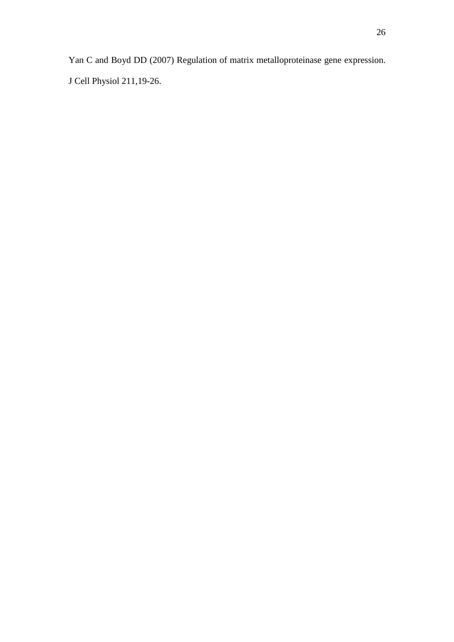Yan C and Boyd DD (2007) Regulation of matrix metalloproteinase gene expression. J Cell Physiol 211,19-26.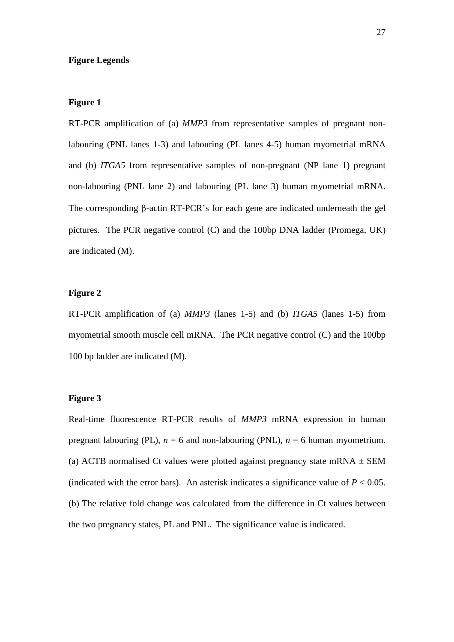## **Figure Legends**

### **Figure 1**

RT-PCR amplification of (a) *MMP3* from representative samples of pregnant nonlabouring (PNL lanes 1-3) and labouring (PL lanes 4-5) human myometrial mRNA and (b) *ITGA5* from representative samples of non-pregnant (NP lane 1) pregnant non-labouring (PNL lane 2) and labouring (PL lane 3) human myometrial mRNA. The corresponding  $\beta$ -actin RT-PCR's for each gene are indicated underneath the gel pictures. The PCR negative control (C) and the 100bp DNA ladder (Promega, UK) are indicated (M).

## **Figure 2**

RT-PCR amplification of (a) *MMP3* (lanes 1-5) and (b) *ITGA5* (lanes 1-5) from myometrial smooth muscle cell mRNA. The PCR negative control (C) and the 100bp 100 bp ladder are indicated (M).

## **Figure 3**

Real-time fluorescence RT-PCR results of *MMP3* mRNA expression in human pregnant labouring (PL),  $n = 6$  and non-labouring (PNL),  $n = 6$  human myometrium. (a) ACTB normalised Ct values were plotted against pregnancy state mRNA  $\pm$  SEM (indicated with the error bars). An asterisk indicates a significance value of  $P < 0.05$ . (b) The relative fold change was calculated from the difference in Ct values between the two pregnancy states, PL and PNL. The significance value is indicated.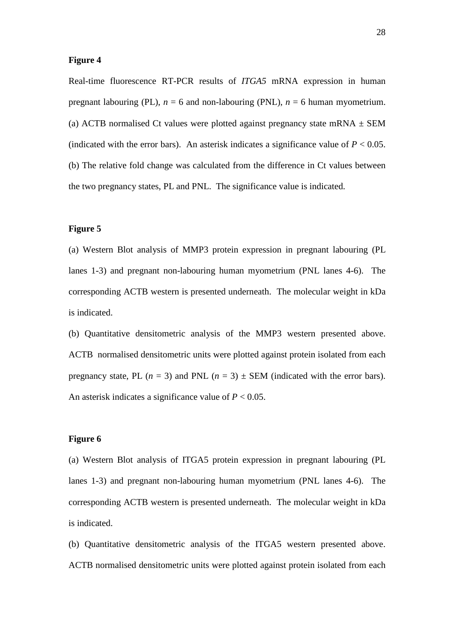#### **Figure 4**

Real-time fluorescence RT-PCR results of *ITGA5* mRNA expression in human pregnant labouring (PL),  $n = 6$  and non-labouring (PNL),  $n = 6$  human myometrium. (a) ACTB normalised Ct values were plotted against pregnancy state mRNA  $\pm$  SEM (indicated with the error bars). An asterisk indicates a significance value of  $P < 0.05$ . (b) The relative fold change was calculated from the difference in Ct values between the two pregnancy states, PL and PNL. The significance value is indicated.

## **Figure 5**

(a) Western Blot analysis of MMP3 protein expression in pregnant labouring (PL lanes 1-3) and pregnant non-labouring human myometrium (PNL lanes 4-6). The corresponding ACTB western is presented underneath. The molecular weight in kDa is indicated.

(b) Quantitative densitometric analysis of the MMP3 western presented above. ACTB normalised densitometric units were plotted against protein isolated from each pregnancy state, PL  $(n = 3)$  and PNL  $(n = 3) \pm$  SEM (indicated with the error bars). An asterisk indicates a significance value of *P* < 0.05.

## **Figure 6**

(a) Western Blot analysis of ITGA5 protein expression in pregnant labouring (PL lanes 1-3) and pregnant non-labouring human myometrium (PNL lanes 4-6). The corresponding ACTB western is presented underneath. The molecular weight in kDa is indicated.

(b) Quantitative densitometric analysis of the ITGA5 western presented above. ACTB normalised densitometric units were plotted against protein isolated from each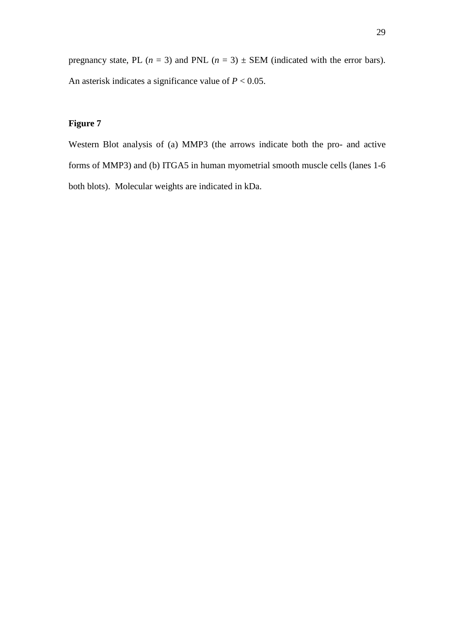pregnancy state, PL ( $n = 3$ ) and PNL ( $n = 3$ )  $\pm$  SEM (indicated with the error bars). An asterisk indicates a significance value of *P* < 0.05.

# **Figure 7**

Western Blot analysis of (a) MMP3 (the arrows indicate both the pro- and active forms of MMP3) and (b) ITGA5 in human myometrial smooth muscle cells (lanes 1-6 both blots). Molecular weights are indicated in kDa.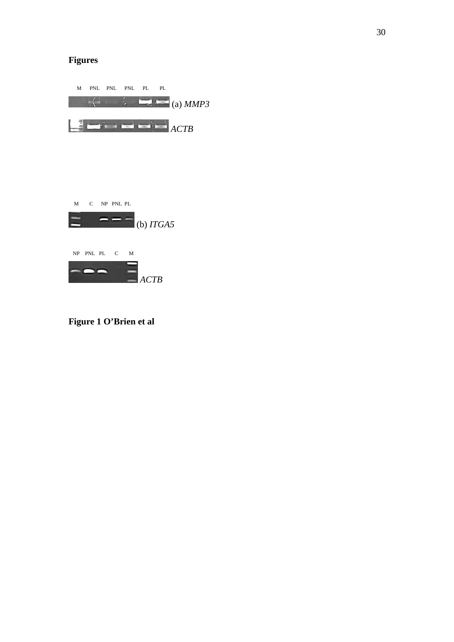# **Figures**



**Figure 1 O'Brien et al**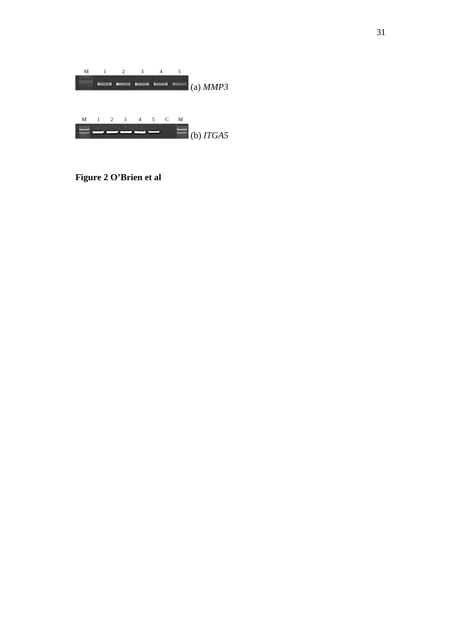

**Figure 2 O'Brien et al**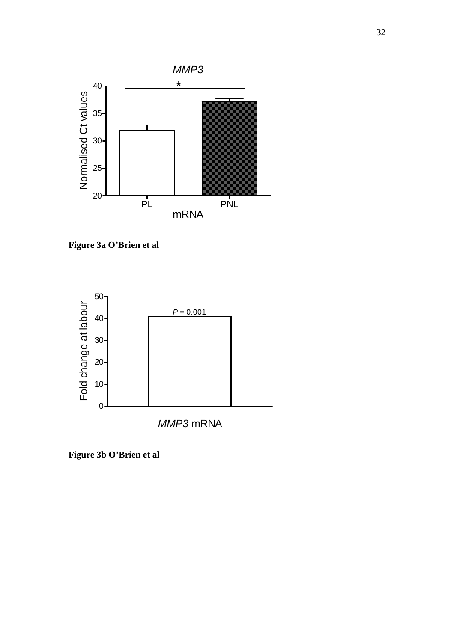

**Figure 3a O'Brien et al**



**Figure 3b O'Brien et al**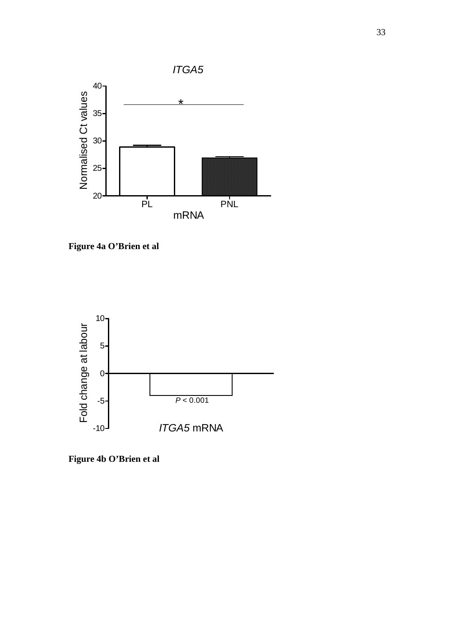

**Figure 4a O'Brien et al**



**Figure 4b O'Brien et al**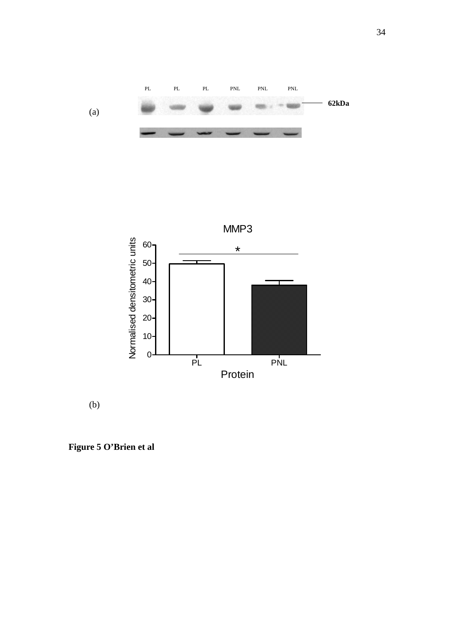



(b)

**Figure 5 O'Brien et al**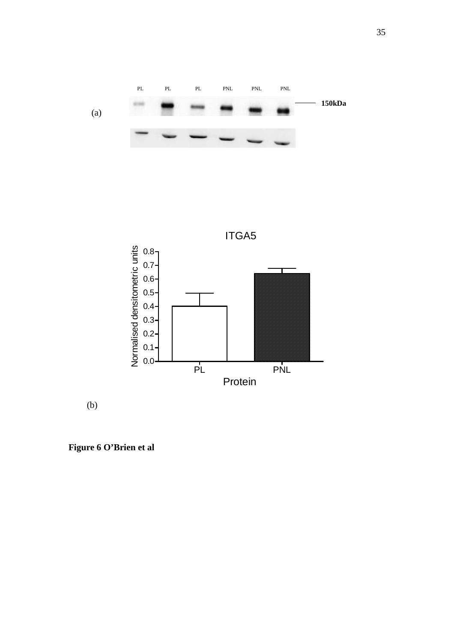



(b)

**Figure 6 O'Brien et al**